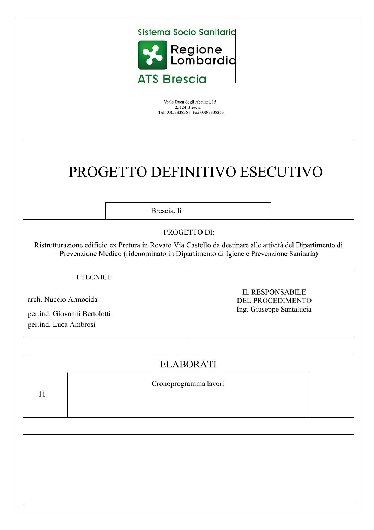

Viale Duca degli Abruzzi, 15 25124 Brescia<br>Tel. 030/3838364 Fax 030/3838213

## PROGETTO DEFINITIVO ESECUTIVO

Brescia, lì

## PROGETTO DI:

Ristrutturazione edificio ex Pretura in Rovato Via Castello da destinare alle attività del Dipartimento di Prevenzione Medico (ridenominato in Dipartimento di Igiene e Prevenzione Sanitaria)

## I TECNICI:

arch. Nuccio Armocida

per.ind. Giovanni Bertolotti per.ind. Luca Ambrosi

**IL RESPONSABILE DEL PROCEDIMENTO** Ing. Giuseppe Santalucia

## **ELABORATI**

| Cronoprogramma lavori |  |
|-----------------------|--|
|                       |  |
|                       |  |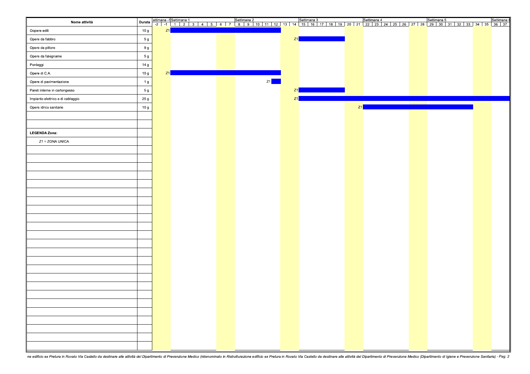| Nome attività                     | Durata         |    |  | 98   ettimana 1   Settimana 1   Settimana 2   Settimana 3   Settimana 4   Settimana 5   Settimana 2   Settimana 3   Settimana 4   Settimana 5   Settimana 1   Settimana 2   Settimana 4   Settimana 4   Settimana 4   Settiman |    |                        |    |  |                                                                            |  |
|-----------------------------------|----------------|----|--|--------------------------------------------------------------------------------------------------------------------------------------------------------------------------------------------------------------------------------|----|------------------------|----|--|----------------------------------------------------------------------------|--|
| Oopere edili                      | 10 g           | Z1 |  |                                                                                                                                                                                                                                |    |                        |    |  |                                                                            |  |
| Opere da fabbro                   | 5 g            |    |  |                                                                                                                                                                                                                                | Z1 |                        |    |  |                                                                            |  |
| Opere da pittore                  | 9 g            |    |  |                                                                                                                                                                                                                                |    |                        |    |  |                                                                            |  |
| Opere da falegname                | 5 <sub>g</sub> |    |  |                                                                                                                                                                                                                                |    |                        |    |  |                                                                            |  |
| Ponteggi                          | 14 g           |    |  |                                                                                                                                                                                                                                |    |                        |    |  |                                                                            |  |
| Opere di C.A.                     | 10 g           | Z1 |  |                                                                                                                                                                                                                                |    |                        |    |  |                                                                            |  |
| Opere di pavimentazione           | 1 <sub>g</sub> |    |  | Z1                                                                                                                                                                                                                             |    |                        |    |  |                                                                            |  |
| Pareti interne in cartongesso     | 5g             |    |  |                                                                                                                                                                                                                                | Z1 | <b>Service Service</b> |    |  |                                                                            |  |
| Impianto elettrico e di cablaggio | 25 g           |    |  |                                                                                                                                                                                                                                | Z1 |                        |    |  |                                                                            |  |
| Opere idrico sanitarie            | 10 g           |    |  |                                                                                                                                                                                                                                |    |                        | Z1 |  | the control of the control of the control of the control of the control of |  |
|                                   |                |    |  |                                                                                                                                                                                                                                |    |                        |    |  |                                                                            |  |
|                                   |                |    |  |                                                                                                                                                                                                                                |    |                        |    |  |                                                                            |  |
| <b>LEGENDA Zona:</b>              |                |    |  |                                                                                                                                                                                                                                |    |                        |    |  |                                                                            |  |
| Z1 = ZONA UNICA                   |                |    |  |                                                                                                                                                                                                                                |    |                        |    |  |                                                                            |  |
|                                   |                |    |  |                                                                                                                                                                                                                                |    |                        |    |  |                                                                            |  |
|                                   |                |    |  |                                                                                                                                                                                                                                |    |                        |    |  |                                                                            |  |
|                                   |                |    |  |                                                                                                                                                                                                                                |    |                        |    |  |                                                                            |  |
|                                   |                |    |  |                                                                                                                                                                                                                                |    |                        |    |  |                                                                            |  |
|                                   |                |    |  |                                                                                                                                                                                                                                |    |                        |    |  |                                                                            |  |
|                                   |                |    |  |                                                                                                                                                                                                                                |    |                        |    |  |                                                                            |  |
|                                   |                |    |  |                                                                                                                                                                                                                                |    |                        |    |  |                                                                            |  |
|                                   |                |    |  |                                                                                                                                                                                                                                |    |                        |    |  |                                                                            |  |
|                                   |                |    |  |                                                                                                                                                                                                                                |    |                        |    |  |                                                                            |  |
|                                   |                |    |  |                                                                                                                                                                                                                                |    |                        |    |  |                                                                            |  |
|                                   |                |    |  |                                                                                                                                                                                                                                |    |                        |    |  |                                                                            |  |
|                                   |                |    |  |                                                                                                                                                                                                                                |    |                        |    |  |                                                                            |  |
|                                   |                |    |  |                                                                                                                                                                                                                                |    |                        |    |  |                                                                            |  |
|                                   |                |    |  |                                                                                                                                                                                                                                |    |                        |    |  |                                                                            |  |
|                                   |                |    |  |                                                                                                                                                                                                                                |    |                        |    |  |                                                                            |  |
|                                   |                |    |  |                                                                                                                                                                                                                                |    |                        |    |  |                                                                            |  |
|                                   |                |    |  |                                                                                                                                                                                                                                |    |                        |    |  |                                                                            |  |
|                                   |                |    |  |                                                                                                                                                                                                                                |    |                        |    |  |                                                                            |  |
|                                   |                |    |  |                                                                                                                                                                                                                                |    |                        |    |  |                                                                            |  |
|                                   |                |    |  |                                                                                                                                                                                                                                |    |                        |    |  |                                                                            |  |
|                                   |                |    |  |                                                                                                                                                                                                                                |    |                        |    |  |                                                                            |  |
|                                   |                |    |  |                                                                                                                                                                                                                                |    |                        |    |  |                                                                            |  |
|                                   |                |    |  |                                                                                                                                                                                                                                |    |                        |    |  |                                                                            |  |
|                                   |                |    |  |                                                                                                                                                                                                                                |    |                        |    |  |                                                                            |  |
|                                   |                |    |  |                                                                                                                                                                                                                                |    |                        |    |  |                                                                            |  |
|                                   |                |    |  |                                                                                                                                                                                                                                |    |                        |    |  |                                                                            |  |